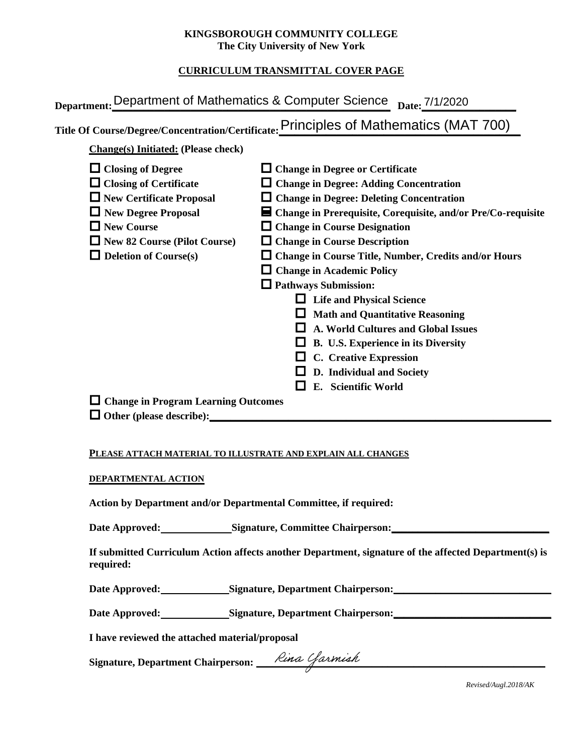### **KINGSBOROUGH COMMUNITY COLLEGE The City University of New York**

# **CURRICULUM TRANSMITTAL COVER PAGE**

| Department: Department of Mathematics & Computer Science Date: 7/1/2020                                                                                                                                                                                                                                                                                                                                                                                                                                                                                                                                                                                                                                                                                                                                                                                                                                        |  |
|----------------------------------------------------------------------------------------------------------------------------------------------------------------------------------------------------------------------------------------------------------------------------------------------------------------------------------------------------------------------------------------------------------------------------------------------------------------------------------------------------------------------------------------------------------------------------------------------------------------------------------------------------------------------------------------------------------------------------------------------------------------------------------------------------------------------------------------------------------------------------------------------------------------|--|
| Title Of Course/Degree/Concentration/Certificate: Principles of Mathematics (MAT 700)                                                                                                                                                                                                                                                                                                                                                                                                                                                                                                                                                                                                                                                                                                                                                                                                                          |  |
| <b>Change(s)</b> Initiated: (Please check)                                                                                                                                                                                                                                                                                                                                                                                                                                                                                                                                                                                                                                                                                                                                                                                                                                                                     |  |
| $\Box$ Closing of Degree<br>$\Box$ Change in Degree or Certificate<br>$\Box$ Closing of Certificate<br>$\Box$ Change in Degree: Adding Concentration<br>$\Box$ New Certificate Proposal<br>$\Box$ Change in Degree: Deleting Concentration<br>$\Box$ New Degree Proposal<br>■ Change in Prerequisite, Corequisite, and/or Pre/Co-requisite<br>$\Box$ New Course<br>$\Box$ Change in Course Designation<br>$\Box$ New 82 Course (Pilot Course)<br>$\Box$ Change in Course Description<br>$\Box$ Deletion of Course(s)<br>$\Box$ Change in Course Title, Number, Credits and/or Hours<br>$\Box$ Change in Academic Policy<br>$\Box$ Pathways Submission:<br>$\Box$ Life and Physical Science<br><b>Math and Quantitative Reasoning</b><br><b>A. World Cultures and Global Issues</b><br>B. U.S. Experience in its Diversity<br><b>C.</b> Creative Expression<br>D. Individual and Society<br>E. Scientific World |  |
| $\Box$ Change in Program Learning Outcomes<br>$\Box$ Other (please describe):                                                                                                                                                                                                                                                                                                                                                                                                                                                                                                                                                                                                                                                                                                                                                                                                                                  |  |

#### **PLEASE ATTACH MATERIAL TO ILLUSTRATE AND EXPLAIN ALL CHANGES**

#### **DEPARTMENTAL ACTION**

**Action by Department and/or Departmental Committee, if required:**

Date Approved: Signature, Committee Chairperson:

**If submitted Curriculum Action affects another Department, signature of the affected Department(s) is required:**

Date Approved: Signature, Department Chairperson:

Date Approved: Signature, Department Chairperson: Natural Approved: Natural Approved: Natural Approved: Natural Approved: Natural Approved: Natural Approved: Natural Approved: Natural Approved: Natural Approved: Natural Ap

**I have reviewed the attached material/proposal**

**Signature, Department Chairperson: \_\_\_\_\_\_\_\_\_\_\_\_\_\_\_\_\_\_\_\_\_\_\_\_\_\_\_\_\_\_\_\_\_\_\_\_\_\_\_\_\_\_\_\_\_\_\_\_\_\_\_\_\_\_\_**

*Revised/Augl.2018/AK*